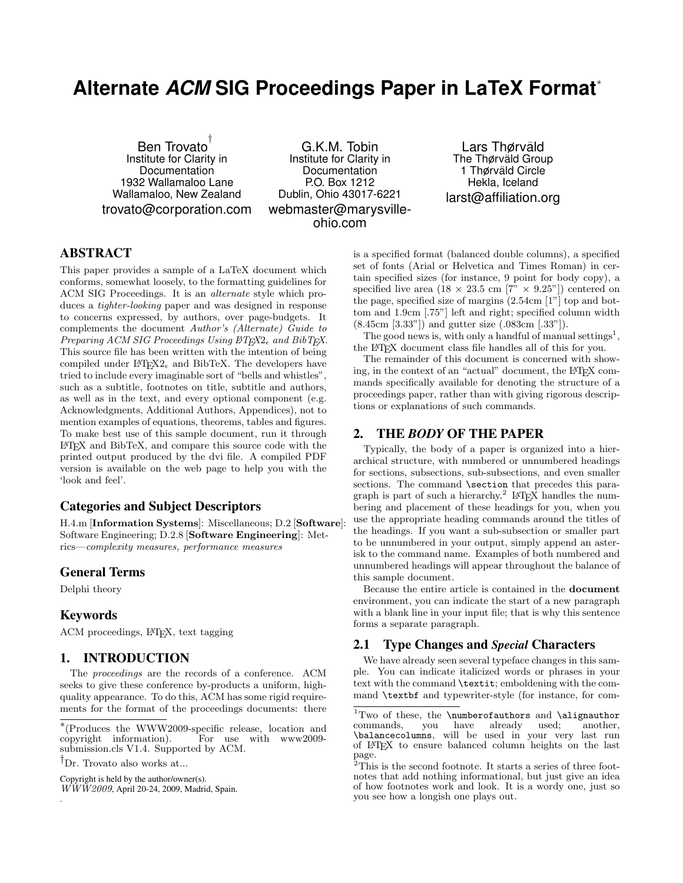# **Alternate** *ACM* **SIG Proceedings Paper in LaTeX Format**<sup>∗</sup>

Ben Trovato † Institute for Clarity in Documentation 1932 Wallamaloo Lane Wallamaloo, New Zealand trovato@corporation.com

G.K.M. Tobin Institute for Clarity in Documentation P.O. Box 1212 Dublin, Ohio 43017-6221 webmaster@marysvilleohio.com

Lars Thørväld The Thørväld Group 1 Thørväld Circle Hekla, Iceland larst@affiliation.org

## ABSTRACT

This paper provides a sample of a LaTeX document which conforms, somewhat loosely, to the formatting guidelines for ACM SIG Proceedings. It is an alternate style which produces a tighter-looking paper and was designed in response to concerns expressed, by authors, over page-budgets. It complements the document Author's (Alternate) Guide to Preparing ACM SIG Proceedings Using  $\angle$ *PT<sub>F</sub>X*2<sub> $\epsilon$ </sub> and BibT<sub>F</sub>X. This source file has been written with the intention of being compiled under  $L^2F_X^2 \to$  and BibTeX. The developers have tried to include every imaginable sort of "bells and whistles", such as a subtitle, footnotes on title, subtitle and authors, as well as in the text, and every optional component (e.g. Acknowledgments, Additional Authors, Appendices), not to mention examples of equations, theorems, tables and figures. To make best use of this sample document, run it through LATEX and BibTeX, and compare this source code with the printed output produced by the dvi file. A compiled PDF version is available on the web page to help you with the 'look and feel'.

## Categories and Subject Descriptors

H.4.m [Information Systems]: Miscellaneous; D.2 [Software]: Software Engineering; D.2.8 [Software Engineering]: Metrics—complexity measures, performance measures

#### General Terms

Delphi theory

#### Keywords

.

ACM proceedings, L<sup>AT</sup>FX, text tagging

#### 1. INTRODUCTION

The proceedings are the records of a conference. ACM seeks to give these conference by-products a uniform, highquality appearance. To do this, ACM has some rigid requirements for the format of the proceedings documents: there

Copyright is held by the author/owner(s).

 $\overline{WWW2009}$ , April 20-24, 2009, Madrid, Spain.

is a specified format (balanced double columns), a specified set of fonts (Arial or Helvetica and Times Roman) in certain specified sizes (for instance, 9 point for body copy), a specified live area  $(18 \times 23.5 \text{ cm } [7" \times 9.25"]$  centered on the page, specified size of margins (2.54cm [1"] top and bottom and 1.9cm [.75"] left and right; specified column width (8.45cm [3.33"]) and gutter size (.083cm [.33"]).

The good news is, with only a handful of manual settings<sup>1</sup>, the LATEX document class file handles all of this for you.

The remainder of this document is concerned with showing, in the context of an "actual" document, the LATEX commands specifically available for denoting the structure of a proceedings paper, rather than with giving rigorous descriptions or explanations of such commands.

#### 2. THE *BODY* OF THE PAPER

Typically, the body of a paper is organized into a hierarchical structure, with numbered or unnumbered headings for sections, subsections, sub-subsections, and even smaller sections. The command **\section** that precedes this paragraph is part of such a hierarchy.<sup>2</sup> L<sup>4</sup>T<sub>E</sub>X handles the numbering and placement of these headings for you, when you use the appropriate heading commands around the titles of the headings. If you want a sub-subsection or smaller part to be unnumbered in your output, simply append an asterisk to the command name. Examples of both numbered and unnumbered headings will appear throughout the balance of this sample document.

Because the entire article is contained in the document environment, you can indicate the start of a new paragraph with a blank line in your input file; that is why this sentence forms a separate paragraph.

## 2.1 Type Changes and *Special* Characters

We have already seen several typeface changes in this sample. You can indicate italicized words or phrases in your text with the command \textit; emboldening with the command \textbf and typewriter-style (for instance, for com-

<sup>∗</sup> (Produces the WWW2009-specific release, location and copyright information). For use with www2009 submission.cls V1.4. Supported by ACM.

<sup>†</sup>Dr. Trovato also works at...

 $1$ Two of these, the \numberofauthors and \alignauthor commands, you have already used; another, commands, you have already used; another, \balancecolumns, will be used in your very last run of LATEX to ensure balanced column heights on the last page.

<sup>2</sup>This is the second footnote. It starts a series of three footnotes that add nothing informational, but just give an idea of how footnotes work and look. It is a wordy one, just so you see how a longish one plays out.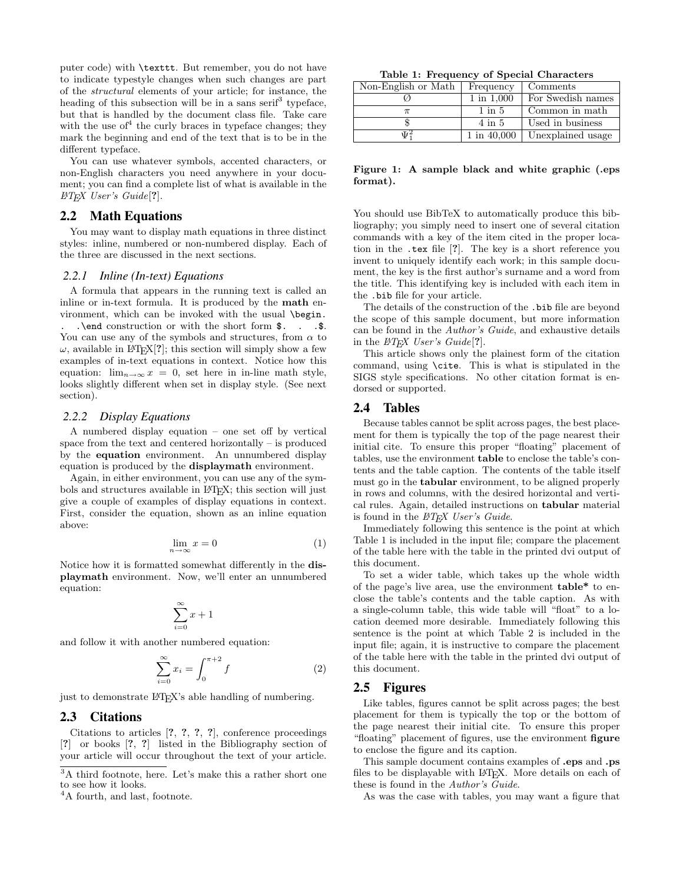puter code) with \texttt. But remember, you do not have to indicate typestyle changes when such changes are part of the structural elements of your article; for instance, the heading of this subsection will be in a sans serif<sup>3</sup> typeface, but that is handled by the document class file. Take care with the use of  $4$  the curly braces in type face changes; they mark the beginning and end of the text that is to be in the different typeface.

You can use whatever symbols, accented characters, or non-English characters you need anywhere in your document; you can find a complete list of what is available in the  $\langle B T_F X \; User's \; Guide[?].$ 

#### 2.2 Math Equations

You may want to display math equations in three distinct styles: inline, numbered or non-numbered display. Each of the three are discussed in the next sections.

#### *2.2.1 Inline (In-text) Equations*

A formula that appears in the running text is called an inline or in-text formula. It is produced by the math environment, which can be invoked with the usual \begin. . \end construction or with the short form  $\$ . . .  $\$ . You can use any of the symbols and structures, from  $\alpha$  to  $\omega$ , available in L<sup>AT</sup>EX<sup>[2]</sup>; this section will simply show a few examples of in-text equations in context. Notice how this equation:  $\lim_{n\to\infty} x = 0$ , set here in in-line math style, looks slightly different when set in display style. (See next section).

#### *2.2.2 Display Equations*

A numbered display equation – one set off by vertical space from the text and centered horizontally – is produced by the equation environment. An unnumbered display equation is produced by the displaymath environment.

Again, in either environment, you can use any of the symbols and structures available in L<sup>AT</sup>EX; this section will just give a couple of examples of display equations in context. First, consider the equation, shown as an inline equation above:

$$
\lim_{n \to \infty} x = 0 \tag{1}
$$

Notice how it is formatted somewhat differently in the displaymath environment. Now, we'll enter an unnumbered equation:

$$
\sum_{i=0}^{\infty} x + 1
$$

and follow it with another numbered equation:

$$
\sum_{i=0}^{\infty} x_i = \int_0^{\pi+2} f \tag{2}
$$

just to demonstrate L<sup>AT</sup>FX's able handling of numbering.

# 2.3 Citations

Citations to articles [?, ?, ?, ?], conference proceedings [?] or books [?, ?] listed in the Bibliography section of your article will occur throughout the text of your article.

Table 1: Frequency of Special Characters

| Non-English or Math | Frequency      | Comments          |
|---------------------|----------------|-------------------|
|                     | $1$ in $1,000$ | For Swedish names |
|                     | $1$ in $5$     | Common in math    |
|                     | $4$ in $5$     | Used in business  |
| $\Psi^2_1$          | 1 in 40,000    | Unexplained usage |

Figure 1: A sample black and white graphic (.eps format).

You should use BibTeX to automatically produce this bibliography; you simply need to insert one of several citation commands with a key of the item cited in the proper location in the .tex file [?]. The key is a short reference you invent to uniquely identify each work; in this sample document, the key is the first author's surname and a word from the title. This identifying key is included with each item in the .bib file for your article.

The details of the construction of the .bib file are beyond the scope of this sample document, but more information can be found in the Author's Guide, and exhaustive details in the  $\cancel{B T_F X}$  User's Guide[?].

This article shows only the plainest form of the citation command, using \cite. This is what is stipulated in the SIGS style specifications. No other citation format is endorsed or supported.

#### 2.4 Tables

Because tables cannot be split across pages, the best placement for them is typically the top of the page nearest their initial cite. To ensure this proper "floating" placement of tables, use the environment table to enclose the table's contents and the table caption. The contents of the table itself must go in the tabular environment, to be aligned properly in rows and columns, with the desired horizontal and vertical rules. Again, detailed instructions on tabular material is found in the  $BT\cancel{F}X$  User's Guide.

Immediately following this sentence is the point at which Table 1 is included in the input file; compare the placement of the table here with the table in the printed dvi output of this document.

To set a wider table, which takes up the whole width of the page's live area, use the environment table\* to enclose the table's contents and the table caption. As with a single-column table, this wide table will "float" to a location deemed more desirable. Immediately following this sentence is the point at which Table 2 is included in the input file; again, it is instructive to compare the placement of the table here with the table in the printed dvi output of this document.

#### 2.5 Figures

Like tables, figures cannot be split across pages; the best placement for them is typically the top or the bottom of the page nearest their initial cite. To ensure this proper "floating" placement of figures, use the environment figure to enclose the figure and its caption.

This sample document contains examples of .eps and .ps files to be displayable with L<sup>AT</sup>EX. More details on each of these is found in the Author's Guide.

As was the case with tables, you may want a figure that

<sup>3</sup>A third footnote, here. Let's make this a rather short one to see how it looks.

<sup>&</sup>lt;sup>4</sup>A fourth, and last, footnote.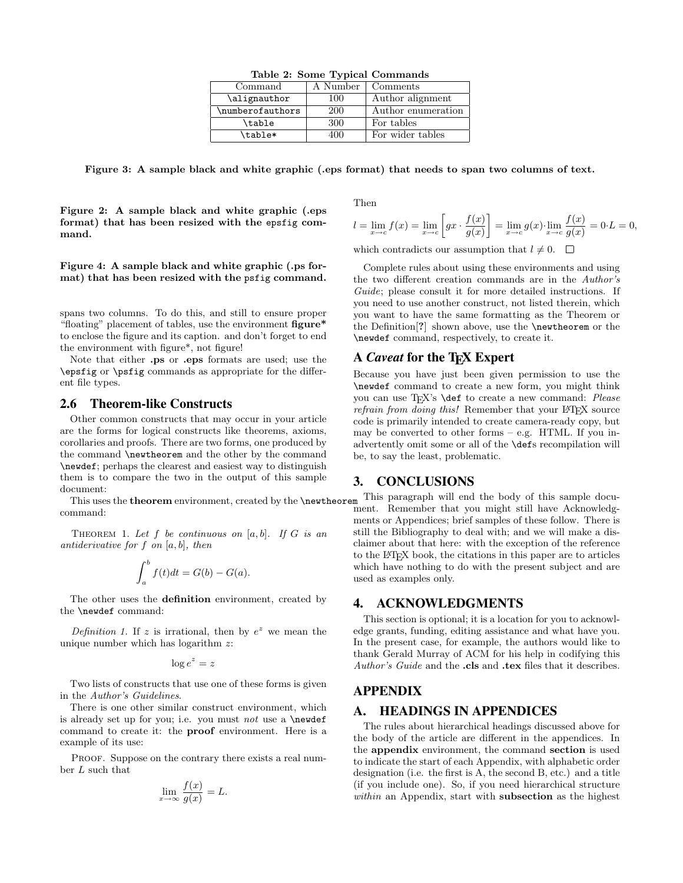| $\frac{1}{2}$    |          |                    |  |
|------------------|----------|--------------------|--|
| Command          | A Number | Comments           |  |
| \alignauthor     | 100      | Author alignment   |  |
| \numberofauthors | 200      | Author enumeration |  |
| \table           | 300      | For tables         |  |
| \table*          | 400      | For wider tables   |  |

Table 2: Some Typical Commands

Figure 3: A sample black and white graphic (.eps format) that needs to span two columns of text.

Figure 2: A sample black and white graphic (.eps format) that has been resized with the epsfig command.

Figure 4: A sample black and white graphic (.ps format) that has been resized with the psfig command.

spans two columns. To do this, and still to ensure proper "floating" placement of tables, use the environment figure\* to enclose the figure and its caption. and don't forget to end the environment with figure\*, not figure!

Note that either .ps or .eps formats are used; use the \epsfig or \psfig commands as appropriate for the different file types.

#### 2.6 Theorem-like Constructs

Other common constructs that may occur in your article are the forms for logical constructs like theorems, axioms, corollaries and proofs. There are two forms, one produced by the command \newtheorem and the other by the command \newdef; perhaps the clearest and easiest way to distinguish them is to compare the two in the output of this sample document:

This uses the theorem environment, created by the **\newtheorem** command:

THEOREM 1. Let  $f$  be continuous on  $[a, b]$ . If  $G$  is an antiderivative for  $f$  on  $[a, b]$ , then

$$
\int_a^b f(t)dt = G(b) - G(a).
$$

The other uses the definition environment, created by the \newdef command:

Definition 1. If z is irrational, then by  $e^z$  we mean the unique number which has logarithm  $z$ :

$$
\log e^z = z
$$

Two lists of constructs that use one of these forms is given in the Author's Guidelines.

There is one other similar construct environment, which is already set up for you; i.e. you must not use a  $\neq$ command to create it: the proof environment. Here is a example of its use:

PROOF. Suppose on the contrary there exists a real number L such that

$$
\lim_{x \to \infty} \frac{f(x)}{g(x)} = L.
$$

Then

$$
l = \lim_{x \to c} f(x) = \lim_{x \to c} \left[ gx \cdot \frac{f(x)}{g(x)} \right] = \lim_{x \to c} g(x) \cdot \lim_{x \to c} \frac{f(x)}{g(x)} = 0 \cdot L = 0,
$$

which contradicts our assumption that  $l \neq 0$ .

Complete rules about using these environments and using the two different creation commands are in the Author's Guide; please consult it for more detailed instructions. If you need to use another construct, not listed therein, which you want to have the same formatting as the Theorem or the Definition[?] shown above, use the \newtheorem or the \newdef command, respectively, to create it.

## A *Caveat* for the T<sub>E</sub>X Expert

Because you have just been given permission to use the \newdef command to create a new form, you might think you can use TEX's **\def** to create a new command: Please refrain from doing this! Remember that your LAT<sub>EX</sub> source code is primarily intended to create camera-ready copy, but may be converted to other forms – e.g. HTML. If you inadvertently omit some or all of the \defs recompilation will be, to say the least, problematic.

## 3. CONCLUSIONS

This paragraph will end the body of this sample document. Remember that you might still have Acknowledgments or Appendices; brief samples of these follow. There is still the Bibliography to deal with; and we will make a disclaimer about that here: with the exception of the reference to the LATEX book, the citations in this paper are to articles which have nothing to do with the present subject and are used as examples only.

#### 4. ACKNOWLEDGMENTS

This section is optional; it is a location for you to acknowledge grants, funding, editing assistance and what have you. In the present case, for example, the authors would like to thank Gerald Murray of ACM for his help in codifying this Author's Guide and the .cls and .tex files that it describes.

### APPENDIX

# A. HEADINGS IN APPENDICES

The rules about hierarchical headings discussed above for the body of the article are different in the appendices. In the appendix environment, the command section is used to indicate the start of each Appendix, with alphabetic order designation (i.e. the first is A, the second B, etc.) and a title (if you include one). So, if you need hierarchical structure within an Appendix, start with **subsection** as the highest